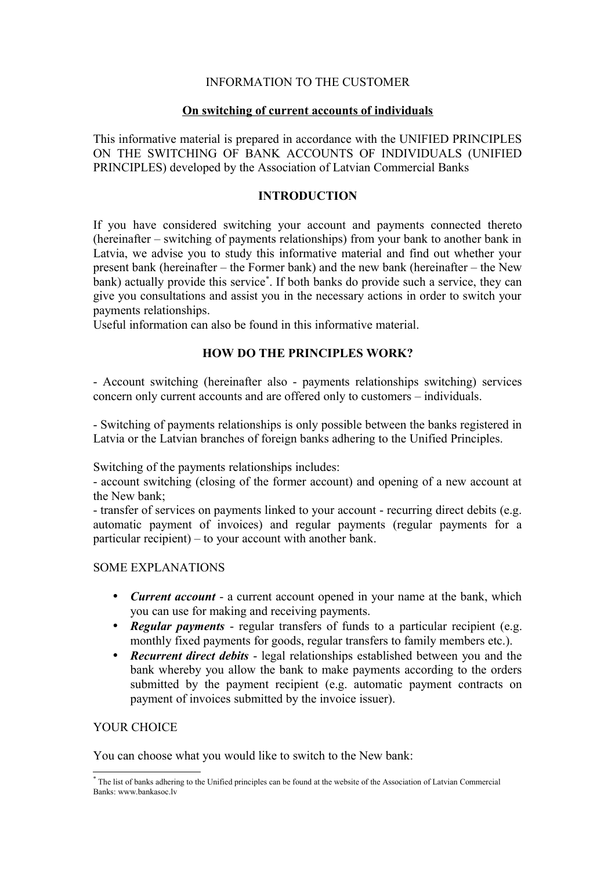## INFORMATION TO THE CUSTOMER

### **On switching of current accounts of individuals**

This informative material is prepared in accordance with the UNIFIED PRINCIPLES ON THE SWITCHING OF BANK ACCOUNTS OF INDIVIDUALS (UNIFIED PRINCIPLES) developed by the Association of Latvian Commercial Banks

## **INTRODUCTION**

If you have considered switching your account and payments connected thereto (hereinafter – switching of payments relationships) from your bank to another bank in Latvia, we advise you to study this informative material and find out whether your present bank (hereinafter – the Former bank) and the new bank (hereinafter – the New bank) actually provide this service[\\*](#page-0-0) . If both banks do provide such a service, they can give you consultations and assist you in the necessary actions in order to switch your payments relationships.

Useful information can also be found in this informative material.

# **HOW DO THE PRINCIPLES WORK?**

- Account switching (hereinafter also - payments relationships switching) services concern only current accounts and are offered only to customers – individuals.

- Switching of payments relationships is only possible between the banks registered in Latvia or the Latvian branches of foreign banks adhering to the Unified Principles.

Switching of the payments relationships includes:

- account switching (closing of the former account) and opening of a new account at the New bank;

- transfer of services on payments linked to your account - recurring direct debits (e.g. automatic payment of invoices) and regular payments (regular payments for a particular recipient) – to your account with another bank.

### SOME EXPLANATIONS

- *Current account* a current account opened in your name at the bank, which you can use for making and receiving payments.
- *Regular payments* regular transfers of funds to a particular recipient (e.g. monthly fixed payments for goods, regular transfers to family members etc.).
- *Recurrent direct debits* legal relationships established between you and the bank whereby you allow the bank to make payments according to the orders submitted by the payment recipient (e.g. automatic payment contracts on payment of invoices submitted by the invoice issuer).

# YOUR CHOICE

You can choose what you would like to switch to the New bank:

<span id="page-0-0"></span><sup>\*</sup> The list of banks adhering to the Unified principles can be found at the website of the Association of Latvian Commercial Banks: www.bankasoc.lv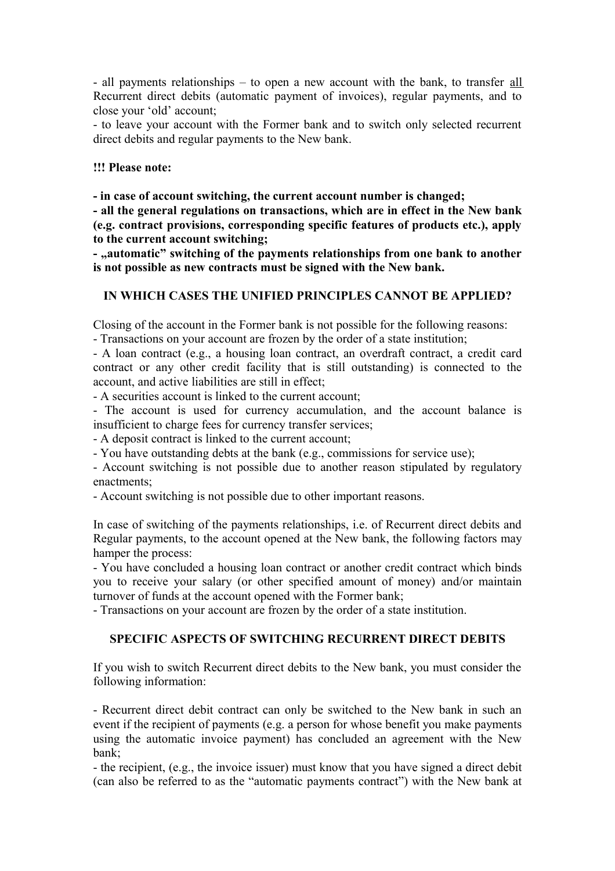- all payments relationships – to open a new account with the bank, to transfer all Recurrent direct debits (automatic payment of invoices), regular payments, and to close your 'old' account;

- to leave your account with the Former bank and to switch only selected recurrent direct debits and regular payments to the New bank.

### **!!! Please note:**

**- in case of account switching, the current account number is changed;** 

**- all the general regulations on transactions, which are in effect in the New bank (e.g. contract provisions, corresponding specific features of products etc.), apply to the current account switching;** 

- "automatic" switching of the payments relationships from one bank to another **is not possible as new contracts must be signed with the New bank.** 

# **IN WHICH CASES THE UNIFIED PRINCIPLES CANNOT BE APPLIED?**

Closing of the account in the Former bank is not possible for the following reasons: - Transactions on your account are frozen by the order of a state institution;

- A loan contract (e.g., a housing loan contract, an overdraft contract, a credit card contract or any other credit facility that is still outstanding) is connected to the account, and active liabilities are still in effect;

- A securities account is linked to the current account;

- The account is used for currency accumulation, and the account balance is insufficient to charge fees for currency transfer services;

- A deposit contract is linked to the current account;

- You have outstanding debts at the bank (e.g., commissions for service use);

- Account switching is not possible due to another reason stipulated by regulatory enactments;

- Account switching is not possible due to other important reasons.

In case of switching of the payments relationships, i.e. of Recurrent direct debits and Regular payments, to the account opened at the New bank, the following factors may hamper the process:

- You have concluded a housing loan contract or another credit contract which binds you to receive your salary (or other specified amount of money) and/or maintain turnover of funds at the account opened with the Former bank;

- Transactions on your account are frozen by the order of a state institution.

# **SPECIFIC ASPECTS OF SWITCHING RECURRENT DIRECT DEBITS**

If you wish to switch Recurrent direct debits to the New bank, you must consider the following information:

- Recurrent direct debit contract can only be switched to the New bank in such an event if the recipient of payments (e.g. a person for whose benefit you make payments using the automatic invoice payment) has concluded an agreement with the New bank;

- the recipient, (e.g., the invoice issuer) must know that you have signed a direct debit (can also be referred to as the "automatic payments contract") with the New bank at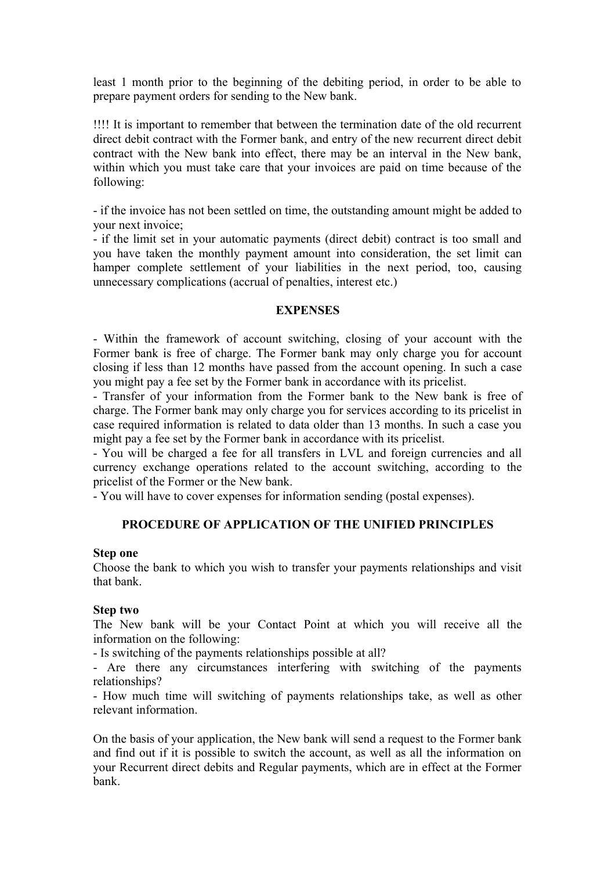least 1 month prior to the beginning of the debiting period, in order to be able to prepare payment orders for sending to the New bank.

!!!! It is important to remember that between the termination date of the old recurrent direct debit contract with the Former bank, and entry of the new recurrent direct debit contract with the New bank into effect, there may be an interval in the New bank, within which you must take care that your invoices are paid on time because of the following:

- if the invoice has not been settled on time, the outstanding amount might be added to your next invoice;

- if the limit set in your automatic payments (direct debit) contract is too small and you have taken the monthly payment amount into consideration, the set limit can hamper complete settlement of your liabilities in the next period, too, causing unnecessary complications (accrual of penalties, interest etc.)

#### **EXPENSES**

- Within the framework of account switching, closing of your account with the Former bank is free of charge. The Former bank may only charge you for account closing if less than 12 months have passed from the account opening. In such a case you might pay a fee set by the Former bank in accordance with its pricelist.

- Transfer of your information from the Former bank to the New bank is free of charge. The Former bank may only charge you for services according to its pricelist in case required information is related to data older than 13 months. In such a case you might pay a fee set by the Former bank in accordance with its pricelist.

- You will be charged a fee for all transfers in LVL and foreign currencies and all currency exchange operations related to the account switching, according to the pricelist of the Former or the New bank.

- You will have to cover expenses for information sending (postal expenses).

### **PROCEDURE OF APPLICATION OF THE UNIFIED PRINCIPLES**

#### **Step one**

Choose the bank to which you wish to transfer your payments relationships and visit that bank.

### **Step two**

The New bank will be your Contact Point at which you will receive all the information on the following:

- Is switching of the payments relationships possible at all?

- Are there any circumstances interfering with switching of the payments relationships?

- How much time will switching of payments relationships take, as well as other relevant information.

On the basis of your application, the New bank will send a request to the Former bank and find out if it is possible to switch the account, as well as all the information on your Recurrent direct debits and Regular payments, which are in effect at the Former bank.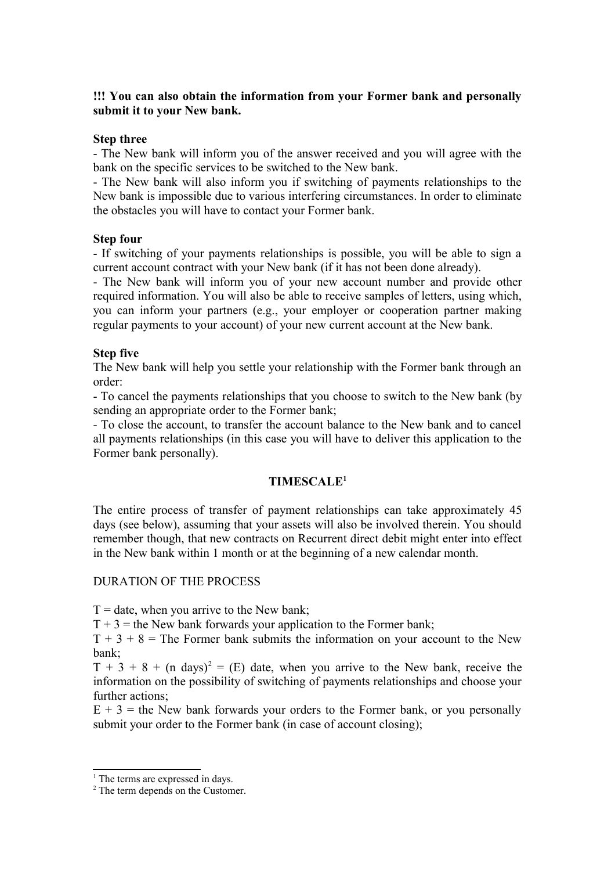## **!!! You can also obtain the information from your Former bank and personally submit it to your New bank.**

### **Step three**

- The New bank will inform you of the answer received and you will agree with the bank on the specific services to be switched to the New bank.

- The New bank will also inform you if switching of payments relationships to the New bank is impossible due to various interfering circumstances. In order to eliminate the obstacles you will have to contact your Former bank.

## **Step four**

- If switching of your payments relationships is possible, you will be able to sign a current account contract with your New bank (if it has not been done already).

- The New bank will inform you of your new account number and provide other required information. You will also be able to receive samples of letters, using which, you can inform your partners (e.g., your employer or cooperation partner making regular payments to your account) of your new current account at the New bank.

## **Step five**

The New bank will help you settle your relationship with the Former bank through an order:

- To cancel the payments relationships that you choose to switch to the New bank (by sending an appropriate order to the Former bank;

- To close the account, to transfer the account balance to the New bank and to cancel all payments relationships (in this case you will have to deliver this application to the Former bank personally).

# **TIMESCALE[1](#page-3-0)**

The entire process of transfer of payment relationships can take approximately 45 days (see below), assuming that your assets will also be involved therein. You should remember though, that new contracts on Recurrent direct debit might enter into effect in the New bank within 1 month or at the beginning of a new calendar month.

### DURATION OF THE PROCESS

 $T =$  date, when you arrive to the New bank;

 $T + 3$  = the New bank forwards your application to the Former bank;

 $T + 3 + 8 =$ The Former bank submits the information on your account to the New bank;

 $T + 3 + 8 + (n \text{ days})^2 = (E)$  $T + 3 + 8 + (n \text{ days})^2 = (E)$  $T + 3 + 8 + (n \text{ days})^2 = (E)$  date, when you arrive to the New bank, receive the information on the possibility of switching of payments relationships and choose your further actions;

 $E + 3$  = the New bank forwards your orders to the Former bank, or you personally submit your order to the Former bank (in case of account closing);

<span id="page-3-0"></span><sup>&</sup>lt;sup>1</sup> The terms are expressed in days.

<span id="page-3-1"></span><sup>&</sup>lt;sup>2</sup> The term depends on the Customer.